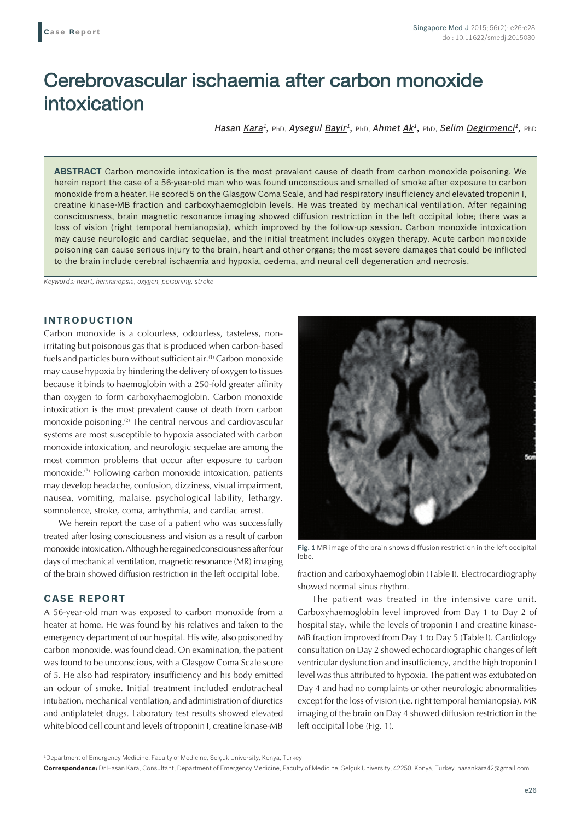# Cerebrovascular ischaemia after carbon monoxide intoxication

*Hasan Kara<sup>1</sup>*, *PhD, Aysegul Bayir<sup>1</sup>, PhD, Ahmet Ak<sup>1</sup>, PhD, Selim Degirmenci<sup>1</sup>, <i>PhD* 

**ABSTRACT** Carbon monoxide intoxication is the most prevalent cause of death from carbon monoxide poisoning. We herein report the case of a 56-year-old man who was found unconscious and smelled of smoke after exposure to carbon monoxide from a heater. He scored 5 on the Glasgow Coma Scale, and had respiratory insufficiency and elevated troponin I, creatine kinase-MB fraction and carboxyhaemoglobin levels. He was treated by mechanical ventilation. After regaining consciousness, brain magnetic resonance imaging showed diffusion restriction in the left occipital lobe; there was a loss of vision (right temporal hemianopsia), which improved by the follow-up session. Carbon monoxide intoxication may cause neurologic and cardiac sequelae, and the initial treatment includes oxygen therapy. Acute carbon monoxide poisoning can cause serious injury to the brain, heart and other organs; the most severe damages that could be inflicted to the brain include cerebral ischaemia and hypoxia, oedema, and neural cell degeneration and necrosis.

*Keywords: heart, hemianopsia, oxygen, poisoning, stroke*

## **INTRODUCTION**

Carbon monoxide is a colourless, odourless, tasteless, nonirritating but poisonous gas that is produced when carbon-based fuels and particles burn without sufficient air.<sup>(1)</sup> Carbon monoxide may cause hypoxia by hindering the delivery of oxygen to tissues because it binds to haemoglobin with a 250-fold greater affinity than oxygen to form carboxyhaemoglobin. Carbon monoxide intoxication is the most prevalent cause of death from carbon monoxide poisoning.<sup>(2)</sup> The central nervous and cardiovascular systems are most susceptible to hypoxia associated with carbon monoxide intoxication, and neurologic sequelae are among the most common problems that occur after exposure to carbon monoxide.(3) Following carbon monoxide intoxication, patients may develop headache, confusion, dizziness, visual impairment, nausea, vomiting, malaise, psychological lability, lethargy, somnolence, stroke, coma, arrhythmia, and cardiac arrest.

We herein report the case of a patient who was successfully treated after losing consciousness and vision as a result of carbon monoxide intoxication. Although he regained consciousness after four days of mechanical ventilation, magnetic resonance (MR) imaging of the brain showed diffusion restriction in the left occipital lobe.

## **CASE REPORT**

A 56-year-old man was exposed to carbon monoxide from a heater at home. He was found by his relatives and taken to the emergency department of our hospital. His wife, also poisoned by carbon monoxide, was found dead. On examination, the patient was found to be unconscious, with a Glasgow Coma Scale score of 5. He also had respiratory insufficiency and his body emitted an odour of smoke. Initial treatment included endotracheal intubation, mechanical ventilation, and administration of diuretics and antiplatelet drugs. Laboratory test results showed elevated white blood cell count and levels of troponin I, creatine kinase-MB



**Fig. 1** MR image of the brain shows diffusion restriction in the left occipital lobe.

fraction and carboxyhaemoglobin (Table I). Electrocardiography showed normal sinus rhythm.

The patient was treated in the intensive care unit. Carboxyhaemoglobin level improved from Day 1 to Day 2 of hospital stay, while the levels of troponin I and creatine kinase-MB fraction improved from Day 1 to Day 5 (Table I). Cardiology consultation on Day 2 showed echocardiographic changes of left ventricular dysfunction and insufficiency, and the high troponin I level was thus attributed to hypoxia. The patient was extubated on Day 4 and had no complaints or other neurologic abnormalities except for the loss of vision (i.e. right temporal hemianopsia). MR imaging of the brain on Day 4 showed diffusion restriction in the left occipital lobe (Fig. 1).

1 Department of Emergency Medicine, Faculty of Medicine, Selçuk University, Konya, Turkey

**Correspondence:** Dr Hasan Kara, Consultant, Department of Emergency Medicine, Faculty of Medicine, Selçuk University, 42250, Konya, Turkey. hasankara42@gmail.com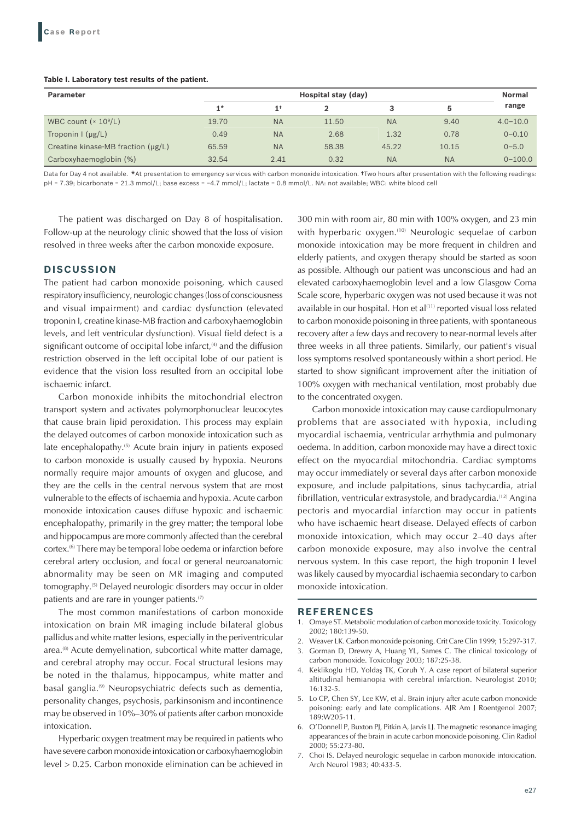#### **Table I. Laboratory test results of the patient.**

| <b>Parameter</b>                        | Hospital stay (day) |                |       |           |           | <b>Normal</b> |
|-----------------------------------------|---------------------|----------------|-------|-----------|-----------|---------------|
|                                         | $1*$                | 1 <sup>†</sup> |       | 3         | 5         | range         |
| WBC count $(x 10^9/L)$                  | 19.70               | <b>NA</b>      | 11.50 | <b>NA</b> | 9.40      | $4.0 - 10.0$  |
| Troponin $\frac{1}{\mu}$ ( $\mu$ g/L)   | 0.49                | <b>NA</b>      | 2.68  | 1.32      | 0.78      | $0 - 0.10$    |
| Creatine kinase-MB fraction $(\mu g/L)$ | 65.59               | <b>NA</b>      | 58.38 | 45.22     | 10.15     | $0 - 5.0$     |
| Carboxyhaemoglobin (%)                  | 32.54               | 2.41           | 0.32  | <b>NA</b> | <b>NA</b> | $0 - 100.0$   |

Data for Day 4 not available. \*At presentation to emergency services with carbon monoxide intoxication. †Two hours after presentation with the following readings: pH = 7.39; bicarbonate = 21.3 mmol/L; base excess = -4.7 mmol/L; lactate = 0.8 mmol/L. NA: not available; WBC: white blood cell

The patient was discharged on Day 8 of hospitalisation. Follow-up at the neurology clinic showed that the loss of vision resolved in three weeks after the carbon monoxide exposure.

### **DISCUSSION**

The patient had carbon monoxide poisoning, which caused respiratory insufficiency, neurologic changes (loss of consciousness and visual impairment) and cardiac dysfunction (elevated troponin I, creatine kinase-MB fraction and carboxyhaemoglobin levels, and left ventricular dysfunction). Visual field defect is a significant outcome of occipital lobe infarct, $(4)$  and the diffusion restriction observed in the left occipital lobe of our patient is evidence that the vision loss resulted from an occipital lobe ischaemic infarct.

Carbon monoxide inhibits the mitochondrial electron transport system and activates polymorphonuclear leucocytes that cause brain lipid peroxidation. This process may explain the delayed outcomes of carbon monoxide intoxication such as late encephalopathy.<sup>(5)</sup> Acute brain injury in patients exposed to carbon monoxide is usually caused by hypoxia. Neurons normally require major amounts of oxygen and glucose, and they are the cells in the central nervous system that are most vulnerable to the effects of ischaemia and hypoxia. Acute carbon monoxide intoxication causes diffuse hypoxic and ischaemic encephalopathy, primarily in the grey matter; the temporal lobe and hippocampus are more commonly affected than the cerebral cortex.(6) There may be temporal lobe oedema or infarction before cerebral artery occlusion, and focal or general neuroanatomic abnormality may be seen on MR imaging and computed tomography.(5) Delayed neurologic disorders may occur in older patients and are rare in younger patients.<sup>(7)</sup>

The most common manifestations of carbon monoxide intoxication on brain MR imaging include bilateral globus pallidus and white matter lesions, especially in the periventricular area.<sup>(8)</sup> Acute demyelination, subcortical white matter damage, and cerebral atrophy may occur. Focal structural lesions may be noted in the thalamus, hippocampus, white matter and basal ganglia.(9) Neuropsychiatric defects such as dementia, personality changes, psychosis, parkinsonism and incontinence may be observed in 10%–30% of patients after carbon monoxide intoxication.

Hyperbaric oxygen treatment may be required in patients who have severe carbon monoxide intoxication or carboxyhaemoglobin level > 0.25. Carbon monoxide elimination can be achieved in 300 min with room air, 80 min with 100% oxygen, and 23 min with hyperbaric oxygen.<sup>(10)</sup> Neurologic sequelae of carbon monoxide intoxication may be more frequent in children and elderly patients, and oxygen therapy should be started as soon as possible. Although our patient was unconscious and had an elevated carboxyhaemoglobin level and a low Glasgow Coma Scale score, hyperbaric oxygen was not used because it was not available in our hospital. Hon et al<sup>(11)</sup> reported visual loss related to carbon monoxide poisoning in three patients, with spontaneous recovery after a few days and recovery to near-normal levels after three weeks in all three patients. Similarly, our patient's visual loss symptoms resolved spontaneously within a short period. He started to show significant improvement after the initiation of 100% oxygen with mechanical ventilation, most probably due to the concentrated oxygen.

Carbon monoxide intoxication may cause cardiopulmonary problems that are associated with hypoxia, including myocardial ischaemia, ventricular arrhythmia and pulmonary oedema. In addition, carbon monoxide may have a direct toxic effect on the myocardial mitochondria. Cardiac symptoms may occur immediately or several days after carbon monoxide exposure, and include palpitations, sinus tachycardia, atrial fibrillation, ventricular extrasystole, and bradycardia.<sup>(12)</sup> Angina pectoris and myocardial infarction may occur in patients who have ischaemic heart disease. Delayed effects of carbon monoxide intoxication, which may occur 2–40 days after carbon monoxide exposure, may also involve the central nervous system. In this case report, the high troponin I level was likely caused by myocardial ischaemia secondary to carbon monoxide intoxication.

#### **REFERENCES**

- 1. Omaye ST. Metabolic modulation of carbon monoxide toxicity. Toxicology 2002; 180:139-50.
- 2. Weaver LK. Carbon monoxide poisoning. Crit Care Clin 1999; 15:297-317.
- 3. Gorman D, Drewry A, Huang YL, Sames C. The clinical toxicology of carbon monoxide. Toxicology 2003; 187:25-38.
- 4. Keklikoglu HD, Yoldaş TK, Coruh Y. A case report of bilateral superior altitudinal hemianopia with cerebral infarction. Neurologist 2010; 16:132‑5.
- 5. Lo CP, Chen SY, Lee KW, et al. Brain injury after acute carbon monoxide poisoning: early and late complications. AJR Am J Roentgenol 2007; 189:W205-11.
- 6. O'Donnell P, Buxton PJ, Pitkin A, Jarvis LJ. The magnetic resonance imaging appearances of the brain in acute carbon monoxide poisoning. Clin Radiol 2000; 55:273-80.
- 7. Choi IS. Delayed neurologic sequelae in carbon monoxide intoxication. Arch Neurol 1983; 40:433-5.